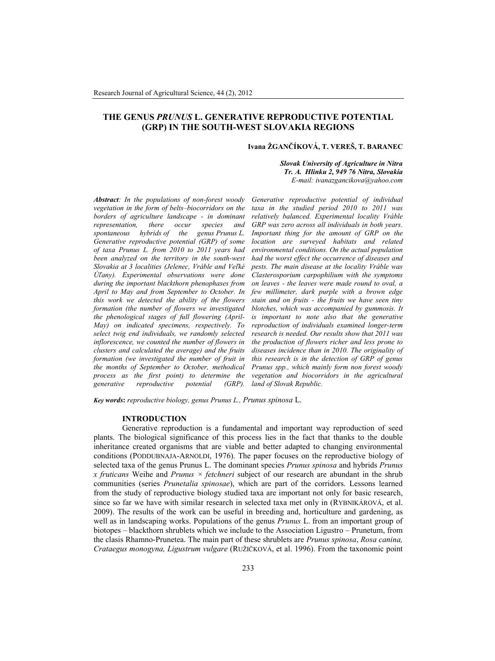# **THE GENUS** *PRUNUS* **L. GENERATIVE REPRODUCTIVE POTENTIAL (GRP) IN THE SOUTH-WEST SLOVAKIA REGIONS**

## **Ivana ŽGANČÍKOVÁ, T. VEREŠ, T. BARANEC**

*Slovak University of Agriculture in Nitra Tr. A. Hlinku 2, 949 76 Nitra, Slovakia E-mail: ivanazgancikova@yahoo.com*

*Abstract: In the populations of non-forest woody vegetation in the form of belts–biocorridors on the borders of agriculture landscape - in dominant representation, there occur species and spontaneous hybrids of the genus Prunus L. Generative reproductive potential (GRP) of some of taxa Prunus L. from 2010 to 2011 years had been analyzed on the territory in the south-west Slovakia at 3 localities (Jelenec, Vráble and Veľké Úľany). Experimental observations were done during the important blackthorn phenophases from April to May and from September to October. In this work we detected the ability of the flowers formation (the number of flowers we investigated the phenological stages of full flowering (April-May) on indicated specimens, respectively. To select twig end individuals, we randomly selected inflorescence, we counted the number of flowers in clusters and calculated the average) and the fruits formation (we investigated the number of fruit in the months of September to October, methodical process as the first point) to determine the*  $reproductive$ 

*Generative reproductive potential of individual taxa in the studied period 2010 to 2011 was relatively balanced. Experimental locality Vráble GRP was zero across all individuals in both years. Important thing for the amount of GRP on the location are surveyed habitats and related environmental conditions. On the actual population had the worst effect the occurrence of diseases and pests. The main disease at the locality Vráble was Clasterosporium carpophilium with the symptoms on leaves - the leaves were made round to oval, a few millimeter, dark purple with a brown edge stain and on fruits - the fruits we have seen tiny blotches, which was accompanied by gummosis. It is important to note also that the generative reproduction of individuals examined longer-term research is needed. Our results show that 2011 was the production of flowers richer and less prone to diseases incidence than in 2010. The originality of this research is in the detection of GRP of genus Prunus spp., which mainly form non forest woody vegetation and biocorridors in the agricultural land of Slovak Republic.*

*Key words***:** *reproductive biology, genus Prunus L., Prunus spinosa* L.

## **INTRODUCTION**

Generative reproduction is a fundamental and important way reproduction of seed plants. The biological significance of this process lies in the fact that thanks to the double inheritance created organisms that are viable and better adapted to changing environmental conditions (PODDUBNAJA-ARNOLDI, 1976). The paper focuses on the reproductive biology of selected taxa of the genus Prunus L. The dominant species *Prunus spinosa* and hybrids *Prunus x fruticans* Weihe and *Prunus × fetchneri* subject of our research are abundant in the shrub communities (series *Prunetalia spinosae*), which are part of the corridors. Lessons learned from the study of reproductive biology studied taxa are important not only for basic research, since so far we have with similar research in selected taxa met only in (RYBNIKÁROVÁ, et al. 2009). The results of the work can be useful in breeding and, horticulture and gardening, as well as in landscaping works. Populations of the genus *Prunus* L. from an important group of biotopes – blackthorn shrublets which we include to the Association Ligustro – Prunetum, from the clasis Rhamno-Prunetea. The main part of these shrublets are *Prunus spinosa*, *Rosa canina, Crataegus monogyna, Ligustrum vulgare* (RUŽIČKOVÁ, et al. 1996). From the taxonomic point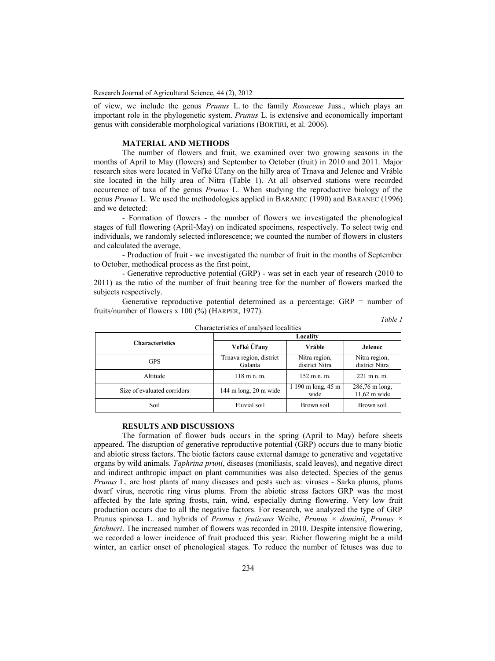of view, we include the genus *Prunus* L. to the family *Rosaceae* Juss., which plays an important role in the phylogenetic system. *Prunus* L. is extensive and economically important genus with considerable morphological variations (BORTIRI, et al. 2006).

# **MATERIAL AND METHODS**

The number of flowers and fruit, we examined over two growing seasons in the months of April to May (flowers) and September to October (fruit) in 2010 and 2011. Major research sites were located in Veľké Úľany on the hilly area of Trnava and Jelenec and Vráble site located in the hilly area of Nitra (Table 1). At all observed stations were recorded occurrence of taxa of the genus *Prunus* L. When studying the reproductive biology of the genus *Prunus* L. We used the methodologies applied in BARANEC (1990) and BARANEC (1996) and we detected:

- Formation of flowers - the number of flowers we investigated the phenological stages of full flowering (April-May) on indicated specimens, respectively. To select twig end individuals, we randomly selected inflorescence; we counted the number of flowers in clusters and calculated the average,

- Production of fruit - we investigated the number of fruit in the months of September to October, methodical process as the first point,

- Generative reproductive potential (GRP) - was set in each year of research (2010 to 2011) as the ratio of the number of fruit bearing tree for the number of flowers marked the subjects respectively.

Generative reproductive potential determined as a percentage: GRP = number of fruits/number of flowers x 100 (%) (HARPER, 1977).

| $a$ n. |  |  |  |
|--------|--|--|--|
|--------|--|--|--|

| Characteristics of analysed localities |                                    |                                 |                                  |  |  |  |
|----------------------------------------|------------------------------------|---------------------------------|----------------------------------|--|--|--|
| <b>Characteristics</b>                 | Locality                           |                                 |                                  |  |  |  |
|                                        | Veľké Úľany                        | Vráble                          | Jelenec                          |  |  |  |
| GPS                                    | Trnava region, district<br>Galanta | Nitra region,<br>district Nitra | Nitra region,<br>district Nitra  |  |  |  |
| Altitude                               | $118$ m n. m.                      | $152$ m n. m.                   | $221 \text{ m}$ n.m.             |  |  |  |
| Size of evaluated corridors            | 144 m long, $20 \text{ m}$ wide    | 1 190 m long, 45 m<br>wide      | 286,76 m long,<br>$11,62$ m wide |  |  |  |
| Soil                                   | Fluvial soil                       | Brown soil                      | Brown soil                       |  |  |  |

**RESULTS AND DISCUSSIONS**

The formation of flower buds occurs in the spring (April to May) before sheets appeared. The disruption of generative reproductive potential (GRP) occurs due to many biotic and abiotic stress factors. The biotic factors cause external damage to generative and vegetative organs by wild animals. *Taphrina pruni*, diseases (moniliasis, scald leaves), and negative direct and indirect anthropic impact on plant communities was also detected. Species of the genus *Prunus* L. are host plants of many diseases and pests such as: viruses - Sarka plums, plums dwarf virus, necrotic ring virus plums. From the abiotic stress factors GRP was the most affected by the late spring frosts, rain, wind, especially during flowering. Very low fruit production occurs due to all the negative factors. For research, we analyzed the type of GRP Prunus spinosa L. and hybrids of *Prunus x fruticans* Weihe, *Prunus × dominii*, *Prunus × fetchneri*. The increased number of flowers was recorded in 2010. Despite intensive flowering, we recorded a lower incidence of fruit produced this year. Richer flowering might be a mild winter, an earlier onset of phenological stages. To reduce the number of fetuses was due to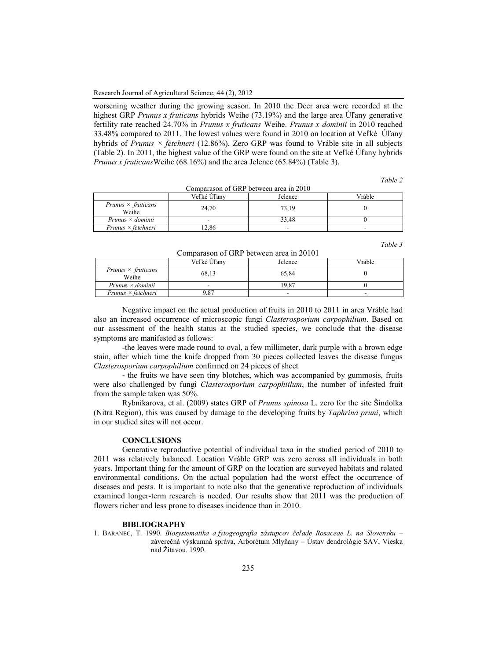worsening weather during the growing season. In 2010 the Deer area were recorded at the highest GRP *Prunus x fruticans* hybrids Weihe (73.19%) and the large area Úľany generative fertility rate reached 24.70% in *Prunus x fruticans* Weihe. *Prunus x dominii* in 2010 reached 33.48% compared to 2011. The lowest values were found in 2010 on location at Veľké Úľany hybrids of *Prunus × fetchneri* (12.86%). Zero GRP was found to Vráble site in all subjects (Table 2). In 2011, the highest value of the GRP were found on the site at Veľké Úľany hybrids *Prunus x fruticans*Weihe (68.16%) and the area Jelenec (65.84%) (Table 3).

*Table 2*

| Comparason of GRP between area in 2010 |             |         |        |  |  |
|----------------------------------------|-------------|---------|--------|--|--|
|                                        | Veľké Úľany | Jelenec | Vráble |  |  |
| Prunus $\times$ fruticans<br>Weihe     | 24.70       | 73,19   |        |  |  |
| $Prunus \times dominii$                |             | 33.48   |        |  |  |
| $Prunus \times fetchneri$              | 2.86        |         |        |  |  |

*Table 3*

Comparason of GRP between area in 20101

|                                    | Veľké Uľanv | Jelenec | Vráble |  |  |
|------------------------------------|-------------|---------|--------|--|--|
| Prunus $\times$ fruticans<br>Weihe | 68,13       | 65.84   |        |  |  |
| $Prunus \times dominii$            |             | 19.87   |        |  |  |
| $Prunus \times fetchneri$          | 1.87        | -       |        |  |  |

Negative impact on the actual production of fruits in 2010 to 2011 in area Vráble had also an increased occurrence of microscopic fungi *Clasterosporium carpophilium*. Based on our assessment of the health status at the studied species, we conclude that the disease symptoms are manifested as follows:

-the leaves were made round to oval, a few millimeter, dark purple with a brown edge stain, after which time the knife dropped from 30 pieces collected leaves the disease fungus *Clasterosporium carpophilium* confirmed on 24 pieces of sheet

- the fruits we have seen tiny blotches, which was accompanied by gummosis, fruits were also challenged by fungi *Clasterosporium carpophiilum*, the number of infested fruit from the sample taken was 50%.

Rybnikarova, et al. (2009) states GRP of *Prunus spinosa* L. zero for the site Šindolka (Nitra Region), this was caused by damage to the developing fruits by *Taphrina pruni*, which in our studied sites will not occur.

# **CONCLUSIONS**

Generative reproductive potential of individual taxa in the studied period of 2010 to 2011 was relatively balanced. Location Vráble GRP was zero across all individuals in both years. Important thing for the amount of GRP on the location are surveyed habitats and related environmental conditions. On the actual population had the worst effect the occurrence of diseases and pests. It is important to note also that the generative reproduction of individuals examined longer-term research is needed. Our results show that 2011 was the production of flowers richer and less prone to diseases incidence than in 2010.

## **BIBLIOGRAPHY**

1. BARANEC, T. 1990. *Biosystematika a fytogeografia zástupcov čeľade Rosaceae L. na Slovensku* – záverečná výskumná správa, Arborétum Mlyňany – Ústav dendrológie SAV, Vieska nad Žitavou. 1990.